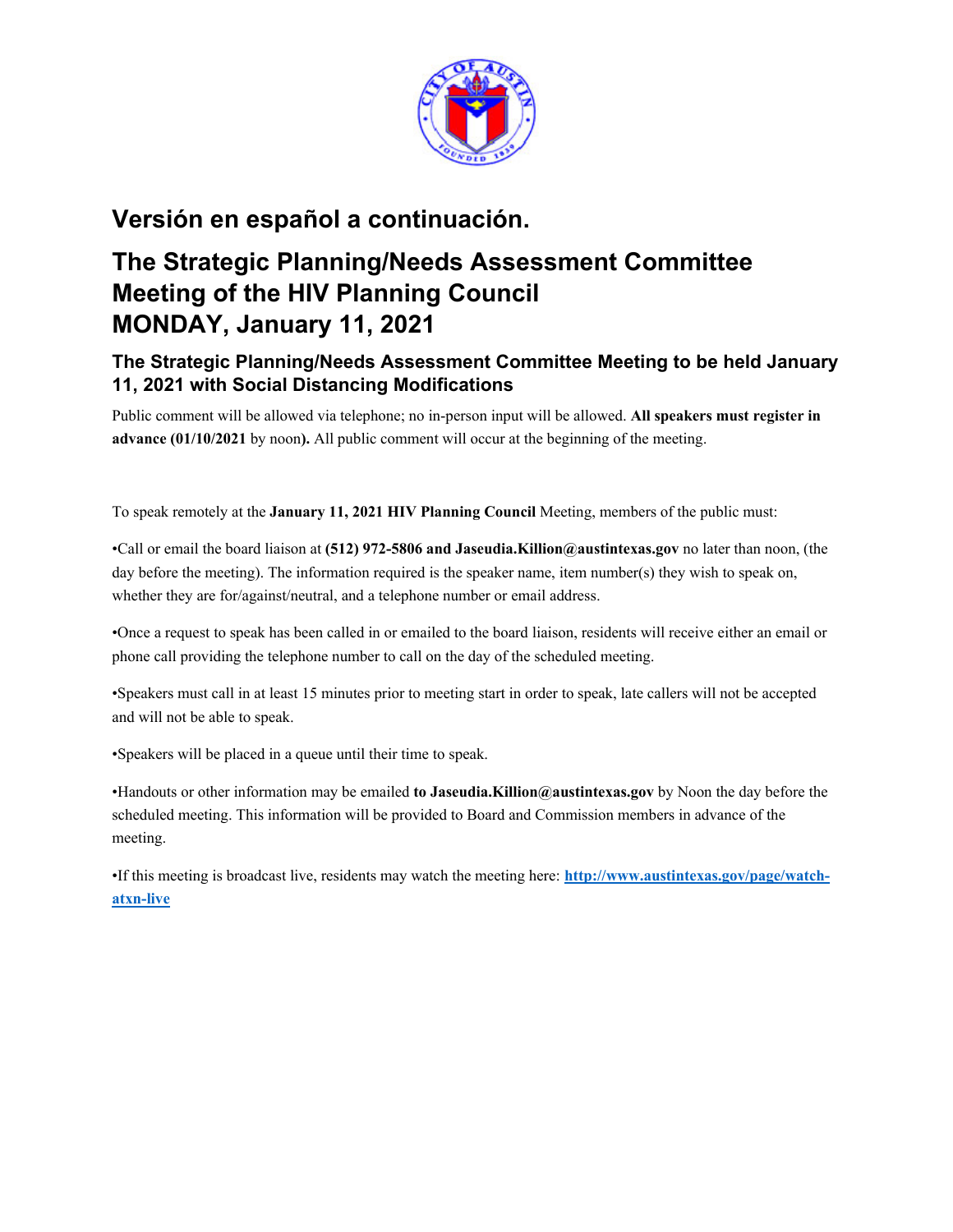

# **Versión en español a continuación.**

# **The Strategic Planning/Needs Assessment Committee Meeting of the HIV Planning Council MONDAY, January 11, 2021**

# **The Strategic Planning/Needs Assessment Committee Meeting to be held January 11, 2021 with Social Distancing Modifications**

Public comment will be allowed via telephone; no in-person input will be allowed. **All speakers must register in advance (01/10/2021** by noon**).** All public comment will occur at the beginning of the meeting.

To speak remotely at the **January 11, 2021 HIV Planning Council** Meeting, members of the public must:

•Call or email the board liaison at **(512) 972-5806 and Jaseudia.Killion@austintexas.gov** no later than noon, (the day before the meeting). The information required is the speaker name, item number(s) they wish to speak on, whether they are for/against/neutral, and a telephone number or email address.

•Once a request to speak has been called in or emailed to the board liaison, residents will receive either an email or phone call providing the telephone number to call on the day of the scheduled meeting.

•Speakers must call in at least 15 minutes prior to meeting start in order to speak, late callers will not be accepted and will not be able to speak.

•Speakers will be placed in a queue until their time to speak.

•Handouts or other information may be emailed **to Jaseudia.Killion@austintexas.gov** by Noon the day before the scheduled meeting. This information will be provided to Board and Commission members in advance of the meeting.

•If this meeting is broadcast live, residents may watch the meeting here: **http://www.austintexas.gov/page/watchatxn-live**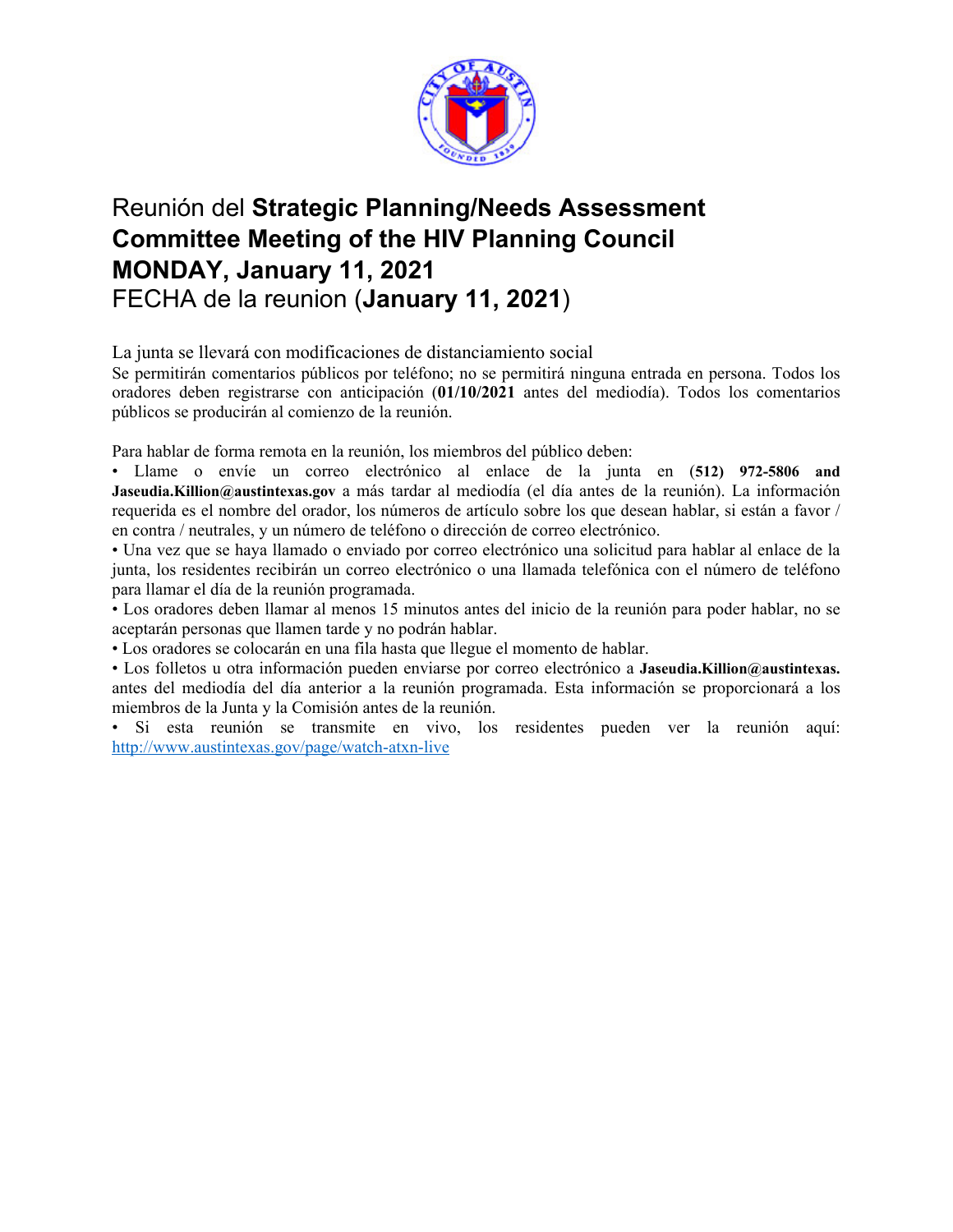

# Reunión del **Strategic Planning/Needs Assessment Committee Meeting of the HIV Planning Council MONDAY, January 11, 2021**  FECHA de la reunion (**January 11, 2021**)

La junta se llevará con modificaciones de distanciamiento social

Se permitirán comentarios públicos por teléfono; no se permitirá ninguna entrada en persona. Todos los oradores deben registrarse con anticipación (**01/10/2021** antes del mediodía). Todos los comentarios públicos se producirán al comienzo de la reunión.

Para hablar de forma remota en la reunión, los miembros del público deben:

• Llame o envíe un correo electrónico al enlace de la junta en (**512) 972-5806 and Jaseudia.Killion@austintexas.gov** a más tardar al mediodía (el día antes de la reunión). La información requerida es el nombre del orador, los números de artículo sobre los que desean hablar, si están a favor / en contra / neutrales, y un número de teléfono o dirección de correo electrónico.

• Una vez que se haya llamado o enviado por correo electrónico una solicitud para hablar al enlace de la junta, los residentes recibirán un correo electrónico o una llamada telefónica con el número de teléfono para llamar el día de la reunión programada.

• Los oradores deben llamar al menos 15 minutos antes del inicio de la reunión para poder hablar, no se aceptarán personas que llamen tarde y no podrán hablar.

• Los oradores se colocarán en una fila hasta que llegue el momento de hablar.

• Los folletos u otra información pueden enviarse por correo electrónico a **Jaseudia.Killion@austintexas.** antes del mediodía del día anterior a la reunión programada. Esta información se proporcionará a los miembros de la Junta y la Comisión antes de la reunión.

• Si esta reunión se transmite en vivo, los residentes pueden ver la reunión aquí: http://www.austintexas.gov/page/watch-atxn-live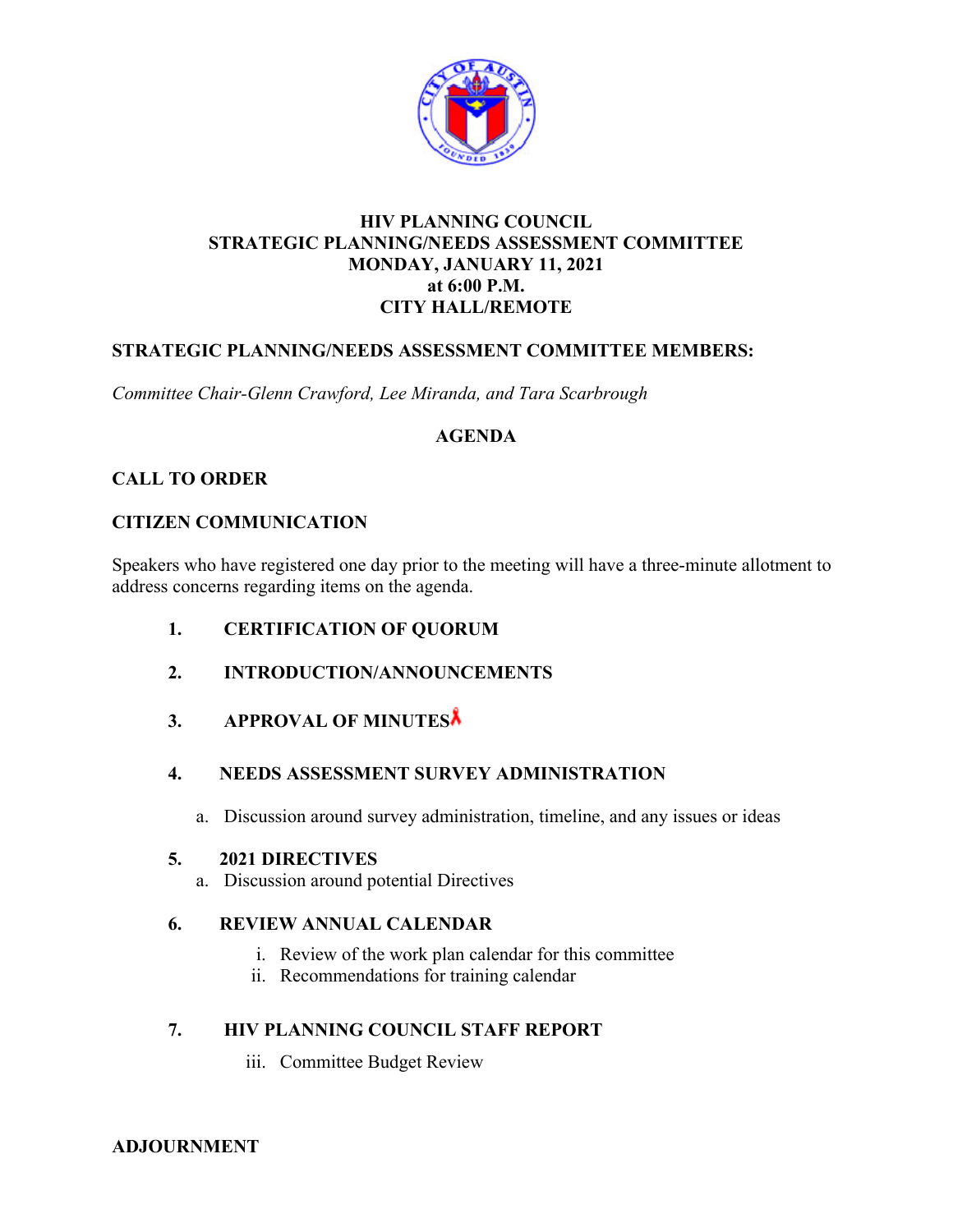

## **HIV PLANNING COUNCIL STRATEGIC PLANNING/NEEDS ASSESSMENT COMMITTEE MONDAY, JANUARY 11, 2021 at 6:00 P.M. CITY HALL/REMOTE**

## **STRATEGIC PLANNING/NEEDS ASSESSMENT COMMITTEE MEMBERS:**

*Committee Chair-Glenn Crawford, Lee Miranda, and Tara Scarbrough* 

#### **AGENDA**

## **CALL TO ORDER**

#### **CITIZEN COMMUNICATION**

Speakers who have registered one day prior to the meeting will have a three-minute allotment to address concerns regarding items on the agenda.

- **1. CERTIFICATION OF QUORUM**
- **2. INTRODUCTION/ANNOUNCEMENTS**
- **3. APPROVAL OF MINUTES**

#### **4. NEEDS ASSESSMENT SURVEY ADMINISTRATION**

a. Discussion around survey administration, timeline, and any issues or ideas

#### **5. 2021 DIRECTIVES**

a. Discussion around potential Directives

### **6. REVIEW ANNUAL CALENDAR**

- i. Review of the work plan calendar for this committee
- ii. Recommendations for training calendar

### **7. HIV PLANNING COUNCIL STAFF REPORT**

iii. Committee Budget Review

**ADJOURNMENT**